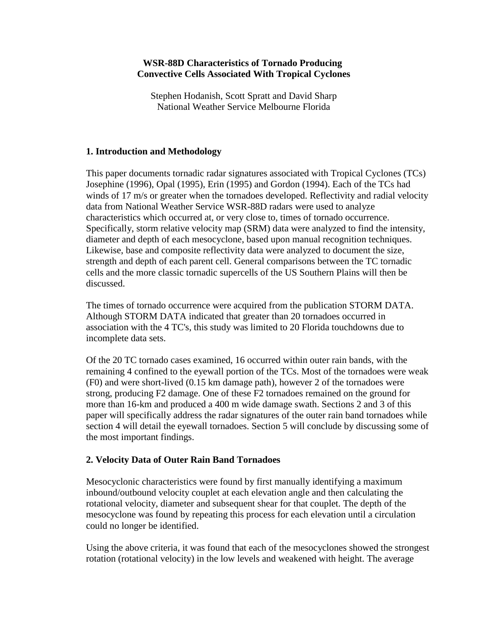### **WSR-88D Characteristics of Tornado Producing Convective Cells Associated With Tropical Cyclones**

Stephen Hodanish, Scott Spratt and David Sharp National Weather Service Melbourne Florida

## **1. Introduction and Methodology**

This paper documents tornadic radar signatures associated with Tropical Cyclones (TCs) Josephine (1996), Opal (1995), Erin (1995) and Gordon (1994). Each of the TCs had winds of 17 m/s or greater when the tornadoes developed. Reflectivity and radial velocity data from National Weather Service WSR-88D radars were used to analyze characteristics which occurred at, or very close to, times of tornado occurrence. Specifically, storm relative velocity map (SRM) data were analyzed to find the intensity, diameter and depth of each mesocyclone, based upon manual recognition techniques. Likewise, base and composite reflectivity data were analyzed to document the size, strength and depth of each parent cell. General comparisons between the TC tornadic cells and the more classic tornadic supercells of the US Southern Plains will then be discussed.

The times of tornado occurrence were acquired from the publication STORM DATA. Although STORM DATA indicated that greater than 20 tornadoes occurred in association with the 4 TC's, this study was limited to 20 Florida touchdowns due to incomplete data sets.

Of the 20 TC tornado cases examined, 16 occurred within outer rain bands, with the remaining 4 confined to the eyewall portion of the TCs. Most of the tornadoes were weak (F0) and were short-lived (0.15 km damage path), however 2 of the tornadoes were strong, producing F2 damage. One of these F2 tornadoes remained on the ground for more than 16-km and produced a 400 m wide damage swath. Sections 2 and 3 of this paper will specifically address the radar signatures of the outer rain band tornadoes while section 4 will detail the eyewall tornadoes. Section 5 will conclude by discussing some of the most important findings.

### **2. Velocity Data of Outer Rain Band Tornadoes**

Mesocyclonic characteristics were found by first manually identifying a maximum inbound/outbound velocity couplet at each elevation angle and then calculating the rotational velocity, diameter and subsequent shear for that couplet. The depth of the mesocyclone was found by repeating this process for each elevation until a circulation could no longer be identified.

Using the above criteria, it was found that each of the mesocyclones showed the strongest rotation (rotational velocity) in the low levels and weakened with height. The average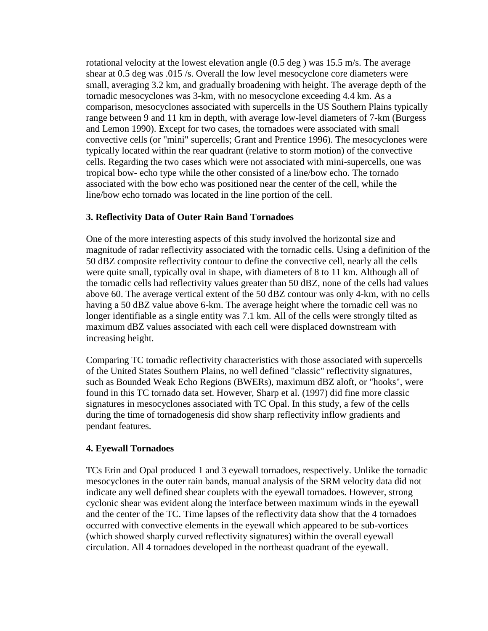rotational velocity at the lowest elevation angle (0.5 deg ) was 15.5 m/s. The average shear at 0.5 deg was .015 /s. Overall the low level mesocyclone core diameters were small, averaging 3.2 km, and gradually broadening with height. The average depth of the tornadic mesocyclones was 3-km, with no mesocyclone exceeding 4.4 km. As a comparison, mesocyclones associated with supercells in the US Southern Plains typically range between 9 and 11 km in depth, with average low-level diameters of 7-km (Burgess and Lemon 1990). Except for two cases, the tornadoes were associated with small convective cells (or "mini" supercells; Grant and Prentice 1996). The mesocyclones were typically located within the rear quadrant (relative to storm motion) of the convective cells. Regarding the two cases which were not associated with mini-supercells, one was tropical bow- echo type while the other consisted of a line/bow echo. The tornado associated with the bow echo was positioned near the center of the cell, while the line/bow echo tornado was located in the line portion of the cell.

## **3. Reflectivity Data of Outer Rain Band Tornadoes**

One of the more interesting aspects of this study involved the horizontal size and magnitude of radar reflectivity associated with the tornadic cells. Using a definition of the 50 dBZ composite reflectivity contour to define the convective cell, nearly all the cells were quite small, typically oval in shape, with diameters of 8 to 11 km. Although all of the tornadic cells had reflectivity values greater than 50 dBZ, none of the cells had values above 60. The average vertical extent of the 50 dBZ contour was only 4-km, with no cells having a 50 dBZ value above 6-km. The average height where the tornadic cell was no longer identifiable as a single entity was 7.1 km. All of the cells were strongly tilted as maximum dBZ values associated with each cell were displaced downstream with increasing height.

Comparing TC tornadic reflectivity characteristics with those associated with supercells of the United States Southern Plains, no well defined "classic" reflectivity signatures, such as Bounded Weak Echo Regions (BWERs), maximum dBZ aloft, or "hooks", were found in this TC tornado data set. However, Sharp et al. (1997) did fine more classic signatures in mesocyclones associated with TC Opal. In this study, a few of the cells during the time of tornadogenesis did show sharp reflectivity inflow gradients and pendant features.

### **4. Eyewall Tornadoes**

TCs Erin and Opal produced 1 and 3 eyewall tornadoes, respectively. Unlike the tornadic mesocyclones in the outer rain bands, manual analysis of the SRM velocity data did not indicate any well defined shear couplets with the eyewall tornadoes. However, strong cyclonic shear was evident along the interface between maximum winds in the eyewall and the center of the TC. Time lapses of the reflectivity data show that the 4 tornadoes occurred with convective elements in the eyewall which appeared to be sub-vortices (which showed sharply curved reflectivity signatures) within the overall eyewall circulation. All 4 tornadoes developed in the northeast quadrant of the eyewall.